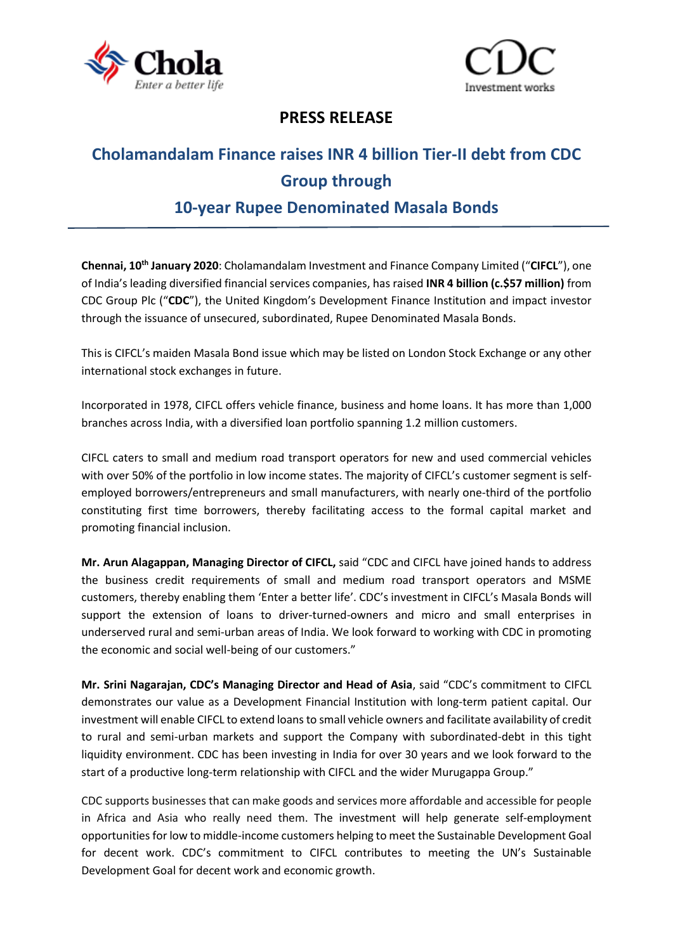



### **PRESS RELEASE**

# **Cholamandalam Finance raises INR 4 billion Tier-II debt from CDC Group through**

## **10-year Rupee Denominated Masala Bonds**

**Chennai, 10th January 2020**: Cholamandalam Investment and Finance Company Limited ("**CIFCL**"), one of India's leading diversified financial services companies, has raised **INR 4 billion (c.\$57 million)** from CDC Group Plc ("**CDC**"), the United Kingdom's Development Finance Institution and impact investor through the issuance of unsecured, subordinated, Rupee Denominated Masala Bonds.

This is CIFCL's maiden Masala Bond issue which may be listed on London Stock Exchange or any other international stock exchanges in future.

Incorporated in 1978, CIFCL offers vehicle finance, business and home loans. It has more than 1,000 branches across India, with a diversified loan portfolio spanning 1.2 million customers.

CIFCL caters to small and medium road transport operators for new and used commercial vehicles with over 50% of the portfolio in low income states. The majority of CIFCL's customer segment is selfemployed borrowers/entrepreneurs and small manufacturers, with nearly one-third of the portfolio constituting first time borrowers, thereby facilitating access to the formal capital market and promoting financial inclusion.

**Mr. Arun Alagappan, Managing Director of CIFCL,** said "CDC and CIFCL have joined hands to address the business credit requirements of small and medium road transport operators and MSME customers, thereby enabling them 'Enter a better life'. CDC's investment in CIFCL's Masala Bonds will support the extension of loans to driver-turned-owners and micro and small enterprises in underserved rural and semi-urban areas of India. We look forward to working with CDC in promoting the economic and social well-being of our customers."

**Mr. Srini Nagarajan, CDC's Managing Director and Head of Asia**, said "CDC's commitment to CIFCL demonstrates our value as a Development Financial Institution with long-term patient capital. Our investment will enable CIFCL to extend loans to small vehicle owners and facilitate availability of credit to rural and semi-urban markets and support the Company with subordinated-debt in this tight liquidity environment. CDC has been investing in India for over 30 years and we look forward to the start of a productive long-term relationship with CIFCL and the wider Murugappa Group."

CDC supports businesses that can make goods and services more affordable and accessible for people in Africa and Asia who really need them. The investment will help generate self-employment opportunities for low to middle-income customers helping to meet the Sustainable Development Goal for decent work. CDC's commitment to CIFCL contributes to meeting the UN's Sustainable Development Goal for decent work and economic growth.